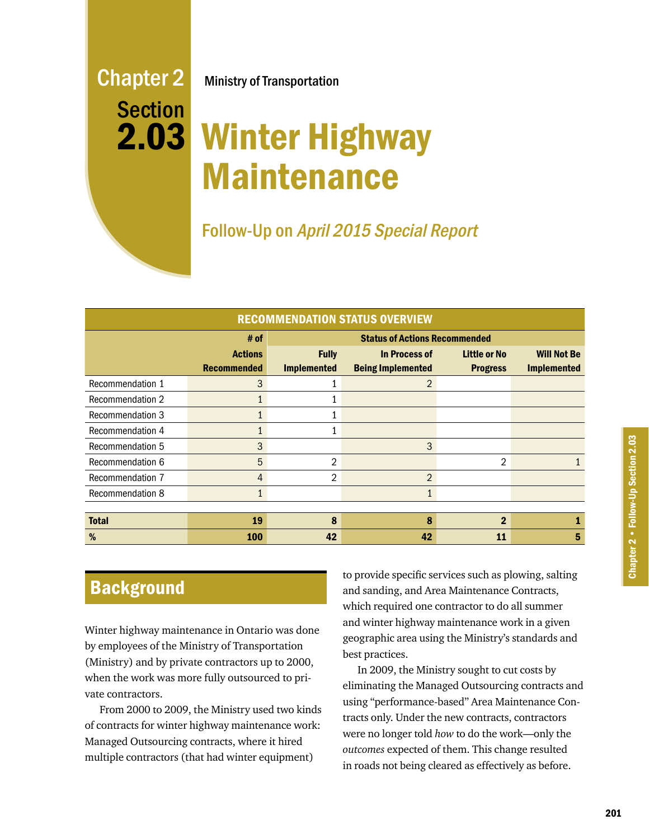# Chapter 2 Section 2.03

Ministry of Transportation

## Winter Highway Maintenance

Follow-Up on April 2015 Special Report

| <b>RECOMMENDATION STATUS OVERVIEW</b> |                    |                                      |                          |                     |                    |
|---------------------------------------|--------------------|--------------------------------------|--------------------------|---------------------|--------------------|
|                                       | # of               | <b>Status of Actions Recommended</b> |                          |                     |                    |
|                                       | <b>Actions</b>     | <b>Fully</b>                         | In Process of            | <b>Little or No</b> | <b>Will Not Be</b> |
|                                       | <b>Recommended</b> | <b>Implemented</b>                   | <b>Being Implemented</b> | <b>Progress</b>     | <b>Implemented</b> |
| Recommendation 1                      | 3                  |                                      | $\mathfrak{p}$           |                     |                    |
| <b>Recommendation 2</b>               |                    |                                      |                          |                     |                    |
| <b>Recommendation 3</b>               |                    |                                      |                          |                     |                    |
| Recommendation 4                      | 1                  |                                      |                          |                     |                    |
| Recommendation 5                      | 3                  |                                      | 3                        |                     |                    |
| Recommendation 6                      | 5                  | 2                                    |                          | $\overline{2}$      |                    |
| Recommendation 7                      | 4                  | 2                                    | $\overline{2}$           |                     |                    |
| <b>Recommendation 8</b>               | $\mathbf{1}$       |                                      |                          |                     |                    |
|                                       |                    |                                      |                          |                     |                    |
| <b>Total</b>                          | 19                 | 8                                    | 8                        | $\overline{2}$      |                    |
| %                                     | 100                | 42                                   | 42                       | 11                  | 5                  |

## **Background**

Winter highway maintenance in Ontario was done by employees of the Ministry of Transportation (Ministry) and by private contractors up to 2000, when the work was more fully outsourced to private contractors.

From 2000 to 2009, the Ministry used two kinds of contracts for winter highway maintenance work: Managed Outsourcing contracts, where it hired multiple contractors (that had winter equipment)

to provide specific services such as plowing, salting and sanding, and Area Maintenance Contracts, which required one contractor to do all summer and winter highway maintenance work in a given geographic area using the Ministry's standards and best practices.

In 2009, the Ministry sought to cut costs by eliminating the Managed Outsourcing contracts and using "performance-based" Area Maintenance Contracts only. Under the new contracts, contractors were no longer told *how* to do the work—only the *outcomes* expected of them. This change resulted in roads not being cleared as effectively as before.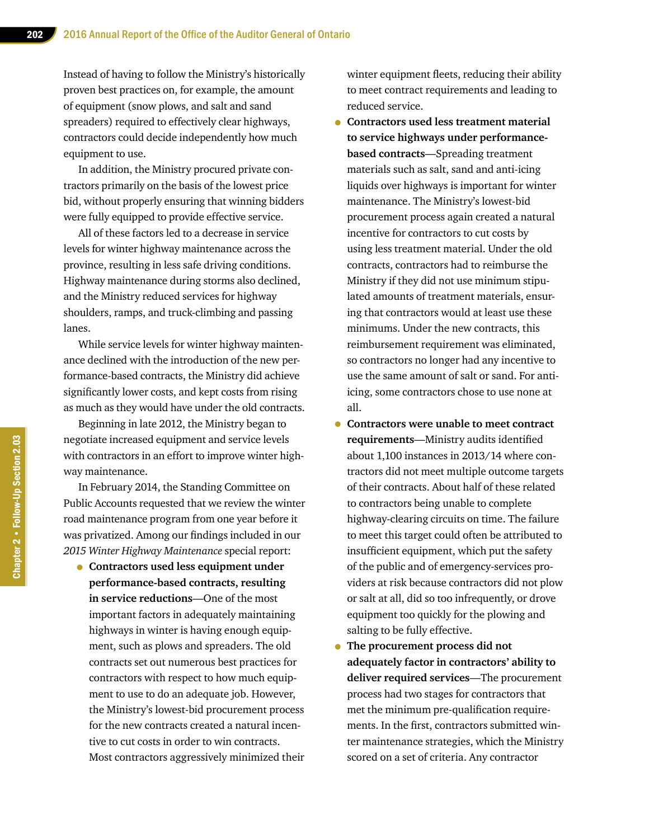Instead of having to follow the Ministry's historically proven best practices on, for example, the amount of equipment (snow plows, and salt and sand spreaders) required to effectively clear highways, contractors could decide independently how much equipment to use.

In addition, the Ministry procured private contractors primarily on the basis of the lowest price bid, without properly ensuring that winning bidders were fully equipped to provide effective service.

All of these factors led to a decrease in service levels for winter highway maintenance across the province, resulting in less safe driving conditions. Highway maintenance during storms also declined, and the Ministry reduced services for highway shoulders, ramps, and truck-climbing and passing lanes.

While service levels for winter highway maintenance declined with the introduction of the new performance-based contracts, the Ministry did achieve significantly lower costs, and kept costs from rising as much as they would have under the old contracts.

Beginning in late 2012, the Ministry began to negotiate increased equipment and service levels with contractors in an effort to improve winter highway maintenance.

In February 2014, the Standing Committee on Public Accounts requested that we review the winter road maintenance program from one year before it was privatized. Among our findings included in our *2015 Winter Highway Maintenance* special report:

• **Contractors used less equipment under performance-based contracts, resulting in service reductions**—One of the most important factors in adequately maintaining highways in winter is having enough equipment, such as plows and spreaders. The old contracts set out numerous best practices for contractors with respect to how much equipment to use to do an adequate job. However, the Ministry's lowest-bid procurement process for the new contracts created a natural incentive to cut costs in order to win contracts. Most contractors aggressively minimized their winter equipment fleets, reducing their ability to meet contract requirements and leading to reduced service.

- **Contractors used less treatment material to service highways under performancebased contracts**—Spreading treatment materials such as salt, sand and anti-icing liquids over highways is important for winter maintenance. The Ministry's lowest-bid procurement process again created a natural incentive for contractors to cut costs by using less treatment material. Under the old contracts, contractors had to reimburse the Ministry if they did not use minimum stipulated amounts of treatment materials, ensuring that contractors would at least use these minimums. Under the new contracts, this reimbursement requirement was eliminated, so contractors no longer had any incentive to use the same amount of salt or sand. For antiicing, some contractors chose to use none at all.
- **Contractors were unable to meet contract requirements**—Ministry audits identified about 1,100 instances in 2013/14 where contractors did not meet multiple outcome targets of their contracts. About half of these related to contractors being unable to complete highway-clearing circuits on time. The failure to meet this target could often be attributed to insufficient equipment, which put the safety of the public and of emergency-services providers at risk because contractors did not plow or salt at all, did so too infrequently, or drove equipment too quickly for the plowing and salting to be fully effective.
- **The procurement process did not adequately factor in contractors' ability to deliver required services**—The procurement process had two stages for contractors that met the minimum pre-qualification requirements. In the first, contractors submitted winter maintenance strategies, which the Ministry scored on a set of criteria. Any contractor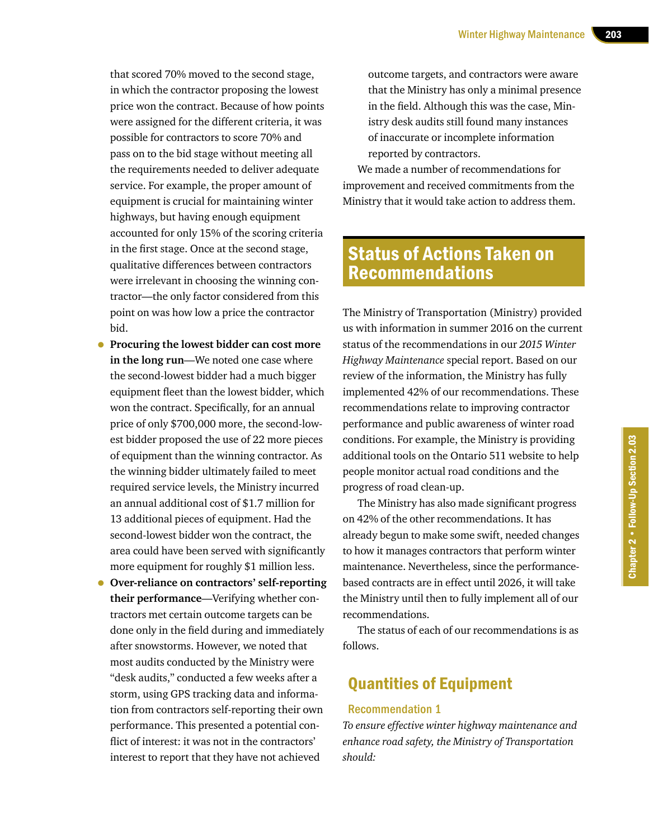that scored 70% moved to the second stage, in which the contractor proposing the lowest price won the contract. Because of how points were assigned for the different criteria, it was possible for contractors to score 70% and pass on to the bid stage without meeting all the requirements needed to deliver adequate service. For example, the proper amount of equipment is crucial for maintaining winter highways, but having enough equipment accounted for only 15% of the scoring criteria in the first stage. Once at the second stage, qualitative differences between contractors were irrelevant in choosing the winning contractor—the only factor considered from this point on was how low a price the contractor bid.

- **Procuring the lowest bidder can cost more in the long run**—We noted one case where the second-lowest bidder had a much bigger equipment fleet than the lowest bidder, which won the contract. Specifically, for an annual price of only \$700,000 more, the second-lowest bidder proposed the use of 22 more pieces of equipment than the winning contractor. As the winning bidder ultimately failed to meet required service levels, the Ministry incurred an annual additional cost of \$1.7 million for 13 additional pieces of equipment. Had the second-lowest bidder won the contract, the area could have been served with significantly more equipment for roughly \$1 million less.
- **Over-reliance on contractors' self-reporting their performance**—Verifying whether contractors met certain outcome targets can be done only in the field during and immediately after snowstorms. However, we noted that most audits conducted by the Ministry were "desk audits," conducted a few weeks after a storm, using GPS tracking data and information from contractors self-reporting their own performance. This presented a potential conflict of interest: it was not in the contractors' interest to report that they have not achieved

outcome targets, and contractors were aware that the Ministry has only a minimal presence in the field. Although this was the case, Ministry desk audits still found many instances of inaccurate or incomplete information reported by contractors.

We made a number of recommendations for improvement and received commitments from the Ministry that it would take action to address them.

## Status of Actions Taken on Recommendations

The Ministry of Transportation (Ministry) provided us with information in summer 2016 on the current status of the recommendations in our *2015 Winter Highway Maintenance* special report. Based on our review of the information, the Ministry has fully implemented 42% of our recommendations. These recommendations relate to improving contractor performance and public awareness of winter road conditions. For example, the Ministry is providing additional tools on the Ontario 511 website to help people monitor actual road conditions and the progress of road clean-up.

The Ministry has also made significant progress on 42% of the other recommendations. It has already begun to make some swift, needed changes to how it manages contractors that perform winter maintenance. Nevertheless, since the performancebased contracts are in effect until 2026, it will take the Ministry until then to fully implement all of our recommendations.

The status of each of our recommendations is as follows.

## Quantities of Equipment

#### Recommendation 1

*To ensure effective winter highway maintenance and enhance road safety, the Ministry of Transportation should:*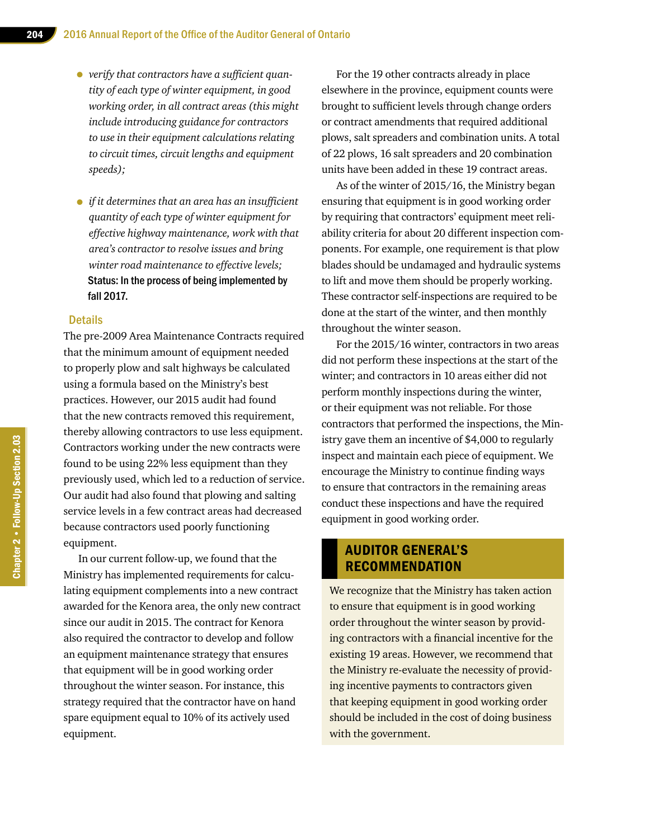- • *verify that contractors have <sup>a</sup> sufficient quantity of each type of winter equipment, in good working order, in all contract areas (this might include introducing guidance for contractors to use in their equipment calculations relating to circuit times, circuit lengths and equipment speeds);*
- • *if it determines that an area has an insufficient quantity of each type of winter equipment for effective highway maintenance, work with that area's contractor to resolve issues and bring winter road maintenance to effective levels;*  Status: In the process of being implemented by fall 2017.

#### **Details**

The pre-2009 Area Maintenance Contracts required that the minimum amount of equipment needed to properly plow and salt highways be calculated using a formula based on the Ministry's best practices. However, our 2015 audit had found that the new contracts removed this requirement, thereby allowing contractors to use less equipment. Contractors working under the new contracts were found to be using 22% less equipment than they previously used, which led to a reduction of service. Our audit had also found that plowing and salting service levels in a few contract areas had decreased because contractors used poorly functioning equipment.

In our current follow-up, we found that the Ministry has implemented requirements for calculating equipment complements into a new contract awarded for the Kenora area, the only new contract since our audit in 2015. The contract for Kenora also required the contractor to develop and follow an equipment maintenance strategy that ensures that equipment will be in good working order throughout the winter season. For instance, this strategy required that the contractor have on hand spare equipment equal to 10% of its actively used equipment.

For the 19 other contracts already in place elsewhere in the province, equipment counts were brought to sufficient levels through change orders or contract amendments that required additional plows, salt spreaders and combination units. A total of 22 plows, 16 salt spreaders and 20 combination units have been added in these 19 contract areas.

As of the winter of 2015/16, the Ministry began ensuring that equipment is in good working order by requiring that contractors' equipment meet reliability criteria for about 20 different inspection components. For example, one requirement is that plow blades should be undamaged and hydraulic systems to lift and move them should be properly working. These contractor self-inspections are required to be done at the start of the winter, and then monthly throughout the winter season.

For the 2015/16 winter, contractors in two areas did not perform these inspections at the start of the winter; and contractors in 10 areas either did not perform monthly inspections during the winter, or their equipment was not reliable. For those contractors that performed the inspections, the Ministry gave them an incentive of \$4,000 to regularly inspect and maintain each piece of equipment. We encourage the Ministry to continue finding ways to ensure that contractors in the remaining areas conduct these inspections and have the required equipment in good working order.

#### AUDITOR GENERAL'S RECOMMENDATION

We recognize that the Ministry has taken action to ensure that equipment is in good working order throughout the winter season by providing contractors with a financial incentive for the existing 19 areas. However, we recommend that the Ministry re-evaluate the necessity of providing incentive payments to contractors given that keeping equipment in good working order should be included in the cost of doing business with the government.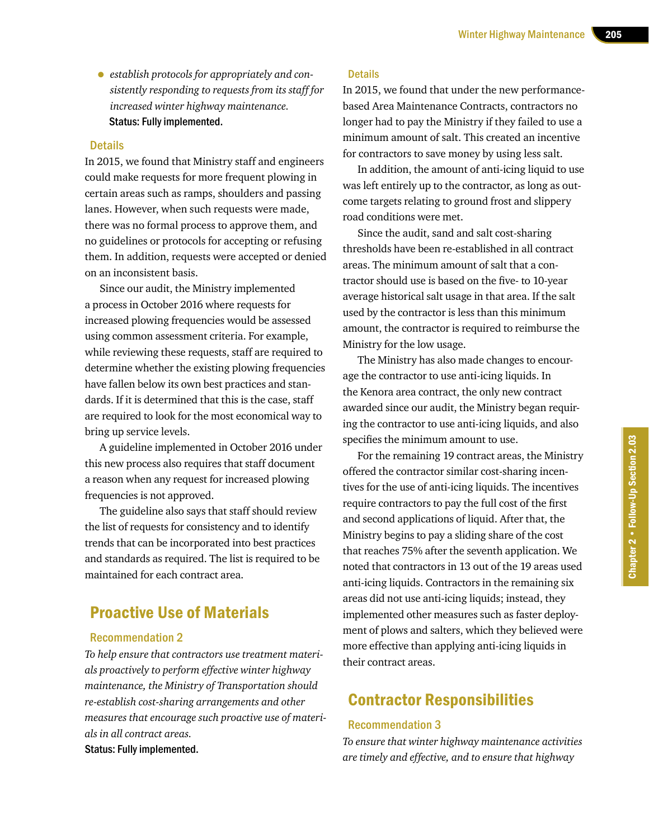• *establish protocols for appropriately and consistently responding to requests from its staff for increased winter highway maintenance.* Status: Fully implemented.

#### Details

In 2015, we found that Ministry staff and engineers could make requests for more frequent plowing in certain areas such as ramps, shoulders and passing lanes. However, when such requests were made, there was no formal process to approve them, and no guidelines or protocols for accepting or refusing them. In addition, requests were accepted or denied on an inconsistent basis.

Since our audit, the Ministry implemented a process in October 2016 where requests for increased plowing frequencies would be assessed using common assessment criteria. For example, while reviewing these requests, staff are required to determine whether the existing plowing frequencies have fallen below its own best practices and standards. If it is determined that this is the case, staff are required to look for the most economical way to bring up service levels.

A guideline implemented in October 2016 under this new process also requires that staff document a reason when any request for increased plowing frequencies is not approved.

The guideline also says that staff should review the list of requests for consistency and to identify trends that can be incorporated into best practices and standards as required. The list is required to be maintained for each contract area.

## Proactive Use of Materials

#### Recommendation 2

*To help ensure that contractors use treatment materials proactively to perform effective winter highway maintenance, the Ministry of Transportation should re-establish cost-sharing arrangements and other measures that encourage such proactive use of materials in all contract areas.* Status: Fully implemented.

#### **Details**

In 2015, we found that under the new performancebased Area Maintenance Contracts, contractors no longer had to pay the Ministry if they failed to use a minimum amount of salt. This created an incentive for contractors to save money by using less salt.

In addition, the amount of anti-icing liquid to use was left entirely up to the contractor, as long as outcome targets relating to ground frost and slippery road conditions were met.

Since the audit, sand and salt cost-sharing thresholds have been re-established in all contract areas. The minimum amount of salt that a contractor should use is based on the five- to 10-year average historical salt usage in that area. If the salt used by the contractor is less than this minimum amount, the contractor is required to reimburse the Ministry for the low usage.

The Ministry has also made changes to encourage the contractor to use anti-icing liquids. In the Kenora area contract, the only new contract awarded since our audit, the Ministry began requiring the contractor to use anti-icing liquids, and also specifies the minimum amount to use.

For the remaining 19 contract areas, the Ministry offered the contractor similar cost-sharing incentives for the use of anti-icing liquids. The incentives require contractors to pay the full cost of the first and second applications of liquid. After that, the Ministry begins to pay a sliding share of the cost that reaches 75% after the seventh application. We noted that contractors in 13 out of the 19 areas used anti-icing liquids. Contractors in the remaining six areas did not use anti-icing liquids; instead, they implemented other measures such as faster deployment of plows and salters, which they believed were more effective than applying anti-icing liquids in their contract areas.

## Contractor Responsibilities

#### Recommendation 3

*To ensure that winter highway maintenance activities are timely and effective, and to ensure that highway*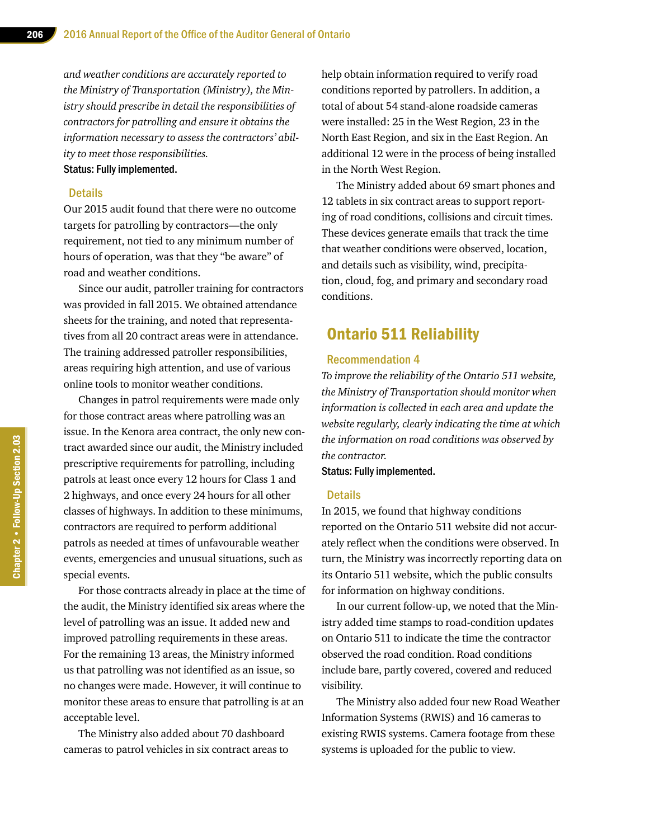*and weather conditions are accurately reported to the Ministry of Transportation (Ministry), the Ministry should prescribe in detail the responsibilities of contractors for patrolling and ensure it obtains the information necessary to assess the contractors' ability to meet those responsibilities.*  Status: Fully implemented.

#### **Details**

Our 2015 audit found that there were no outcome targets for patrolling by contractors—the only requirement, not tied to any minimum number of hours of operation, was that they "be aware" of road and weather conditions.

Since our audit, patroller training for contractors was provided in fall 2015. We obtained attendance sheets for the training, and noted that representatives from all 20 contract areas were in attendance. The training addressed patroller responsibilities, areas requiring high attention, and use of various online tools to monitor weather conditions.

Changes in patrol requirements were made only for those contract areas where patrolling was an issue. In the Kenora area contract, the only new contract awarded since our audit, the Ministry included prescriptive requirements for patrolling, including patrols at least once every 12 hours for Class 1 and 2 highways, and once every 24 hours for all other classes of highways. In addition to these minimums, contractors are required to perform additional patrols as needed at times of unfavourable weather events, emergencies and unusual situations, such as special events.

For those contracts already in place at the time of the audit, the Ministry identified six areas where the level of patrolling was an issue. It added new and improved patrolling requirements in these areas. For the remaining 13 areas, the Ministry informed us that patrolling was not identified as an issue, so no changes were made. However, it will continue to monitor these areas to ensure that patrolling is at an acceptable level.

The Ministry also added about 70 dashboard cameras to patrol vehicles in six contract areas to help obtain information required to verify road conditions reported by patrollers. In addition, a total of about 54 stand-alone roadside cameras were installed: 25 in the West Region, 23 in the North East Region, and six in the East Region. An additional 12 were in the process of being installed in the North West Region.

The Ministry added about 69 smart phones and 12 tablets in six contract areas to support reporting of road conditions, collisions and circuit times. These devices generate emails that track the time that weather conditions were observed, location, and details such as visibility, wind, precipitation, cloud, fog, and primary and secondary road conditions.

## Ontario 511 Reliability

#### Recommendation 4

*To improve the reliability of the Ontario 511 website, the Ministry of Transportation should monitor when information is collected in each area and update the website regularly, clearly indicating the time at which the information on road conditions was observed by the contractor.*

#### Status: Fully implemented.

#### **Details**

In 2015, we found that highway conditions reported on the Ontario 511 website did not accurately reflect when the conditions were observed. In turn, the Ministry was incorrectly reporting data on its Ontario 511 website, which the public consults for information on highway conditions.

In our current follow-up, we noted that the Ministry added time stamps to road-condition updates on Ontario 511 to indicate the time the contractor observed the road condition. Road conditions include bare, partly covered, covered and reduced visibility.

The Ministry also added four new Road Weather Information Systems (RWIS) and 16 cameras to existing RWIS systems. Camera footage from these systems is uploaded for the public to view.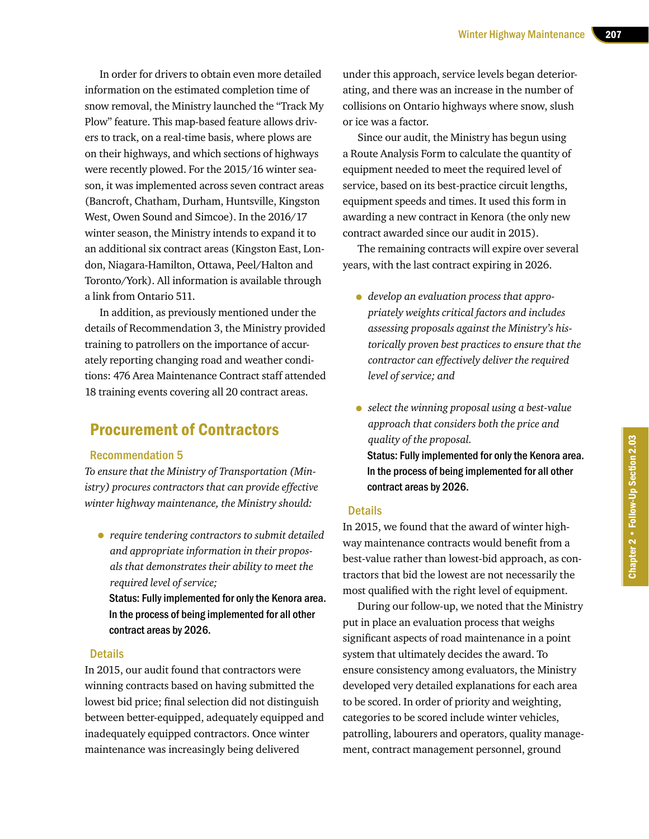In order for drivers to obtain even more detailed information on the estimated completion time of snow removal, the Ministry launched the "Track My Plow" feature. This map-based feature allows drivers to track, on a real-time basis, where plows are on their highways, and which sections of highways were recently plowed. For the 2015/16 winter season, it was implemented across seven contract areas (Bancroft, Chatham, Durham, Huntsville, Kingston West, Owen Sound and Simcoe). In the 2016/17 winter season, the Ministry intends to expand it to an additional six contract areas (Kingston East, London, Niagara-Hamilton, Ottawa, Peel/Halton and Toronto/York). All information is available through a link from Ontario 511.

In addition, as previously mentioned under the details of Recommendation 3, the Ministry provided training to patrollers on the importance of accurately reporting changing road and weather conditions: 476 Area Maintenance Contract staff attended 18 training events covering all 20 contract areas.

## Procurement of Contractors

#### Recommendation 5

*To ensure that the Ministry of Transportation (Ministry) procures contractors that can provide effective winter highway maintenance, the Ministry should:*

• *require tendering contractors to submit detailed and appropriate information in their proposals that demonstrates their ability to meet the required level of service;*

Status: Fully implemented for only the Kenora area. In the process of being implemented for all other contract areas by 2026.

#### Details

In 2015, our audit found that contractors were winning contracts based on having submitted the lowest bid price; final selection did not distinguish between better-equipped, adequately equipped and inadequately equipped contractors. Once winter maintenance was increasingly being delivered

under this approach, service levels began deteriorating, and there was an increase in the number of collisions on Ontario highways where snow, slush or ice was a factor.

Since our audit, the Ministry has begun using a Route Analysis Form to calculate the quantity of equipment needed to meet the required level of service, based on its best-practice circuit lengths, equipment speeds and times. It used this form in awarding a new contract in Kenora (the only new contract awarded since our audit in 2015).

The remaining contracts will expire over several years, with the last contract expiring in 2026.

- *develop an evaluation process that appropriately weights critical factors and includes assessing proposals against the Ministry's historically proven best practices to ensure that the contractor can effectively deliver the required level of service; and*
- *select the winning proposal using a best-value approach that considers both the price and quality of the proposal.* Status: Fully implemented for only the Kenora area. In the process of being implemented for all other contract areas by 2026.

#### **Details**

In 2015, we found that the award of winter highway maintenance contracts would benefit from a best-value rather than lowest-bid approach, as contractors that bid the lowest are not necessarily the most qualified with the right level of equipment.

During our follow-up, we noted that the Ministry put in place an evaluation process that weighs significant aspects of road maintenance in a point system that ultimately decides the award. To ensure consistency among evaluators, the Ministry developed very detailed explanations for each area to be scored. In order of priority and weighting, categories to be scored include winter vehicles, patrolling, labourers and operators, quality management, contract management personnel, ground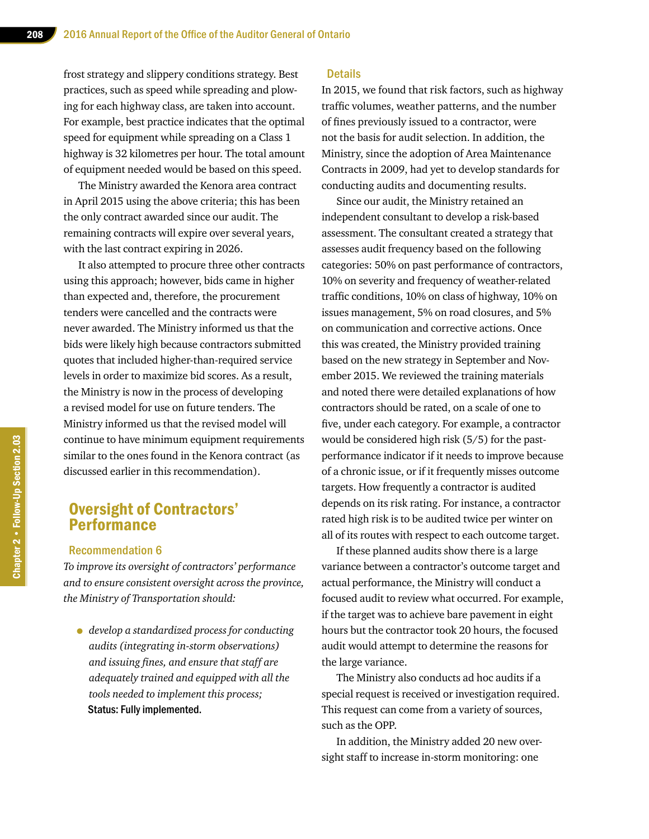frost strategy and slippery conditions strategy. Best practices, such as speed while spreading and plowing for each highway class, are taken into account. For example, best practice indicates that the optimal speed for equipment while spreading on a Class 1 highway is 32 kilometres per hour. The total amount of equipment needed would be based on this speed.

The Ministry awarded the Kenora area contract in April 2015 using the above criteria; this has been the only contract awarded since our audit. The remaining contracts will expire over several years, with the last contract expiring in 2026.

It also attempted to procure three other contracts using this approach; however, bids came in higher than expected and, therefore, the procurement tenders were cancelled and the contracts were never awarded. The Ministry informed us that the bids were likely high because contractors submitted quotes that included higher-than-required service levels in order to maximize bid scores. As a result, the Ministry is now in the process of developing a revised model for use on future tenders. The Ministry informed us that the revised model will continue to have minimum equipment requirements similar to the ones found in the Kenora contract (as discussed earlier in this recommendation).

## Oversight of Contractors' **Performance**

#### Recommendation 6

*To improve its oversight of contractors' performance and to ensure consistent oversight across the province, the Ministry of Transportation should:*

• *develop a standardized process for conducting audits (integrating in-storm observations) and issuing fines, and ensure that staff are adequately trained and equipped with all the tools needed to implement this process;* Status: Fully implemented.

#### **Details**

In 2015, we found that risk factors, such as highway traffic volumes, weather patterns, and the number of fines previously issued to a contractor, were not the basis for audit selection. In addition, the Ministry, since the adoption of Area Maintenance Contracts in 2009, had yet to develop standards for conducting audits and documenting results.

Since our audit, the Ministry retained an independent consultant to develop a risk-based assessment. The consultant created a strategy that assesses audit frequency based on the following categories: 50% on past performance of contractors, 10% on severity and frequency of weather-related traffic conditions, 10% on class of highway, 10% on issues management, 5% on road closures, and 5% on communication and corrective actions. Once this was created, the Ministry provided training based on the new strategy in September and November 2015. We reviewed the training materials and noted there were detailed explanations of how contractors should be rated, on a scale of one to five, under each category. For example, a contractor would be considered high risk (5/5) for the pastperformance indicator if it needs to improve because of a chronic issue, or if it frequently misses outcome targets. How frequently a contractor is audited depends on its risk rating. For instance, a contractor rated high risk is to be audited twice per winter on all of its routes with respect to each outcome target.

If these planned audits show there is a large variance between a contractor's outcome target and actual performance, the Ministry will conduct a focused audit to review what occurred. For example, if the target was to achieve bare pavement in eight hours but the contractor took 20 hours, the focused audit would attempt to determine the reasons for the large variance.

The Ministry also conducts ad hoc audits if a special request is received or investigation required. This request can come from a variety of sources, such as the OPP.

In addition, the Ministry added 20 new oversight staff to increase in-storm monitoring: one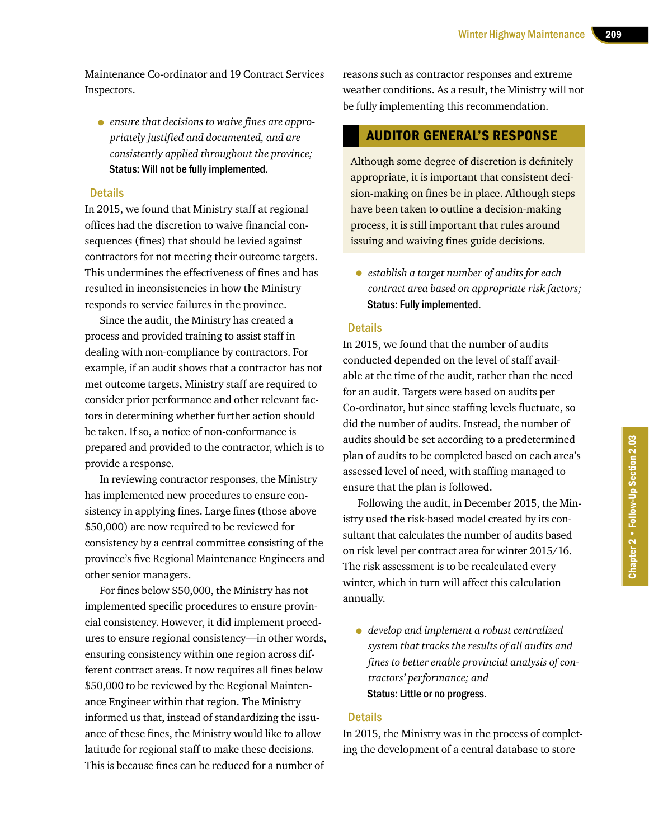Maintenance Co-ordinator and 19 Contract Services Inspectors.

• *ensure that decisions to waive fines are appropriately justified and documented, and are consistently applied throughout the province;* Status: Will not be fully implemented.

#### **Details**

In 2015, we found that Ministry staff at regional offices had the discretion to waive financial consequences (fines) that should be levied against contractors for not meeting their outcome targets. This undermines the effectiveness of fines and has resulted in inconsistencies in how the Ministry responds to service failures in the province.

Since the audit, the Ministry has created a process and provided training to assist staff in dealing with non-compliance by contractors. For example, if an audit shows that a contractor has not met outcome targets, Ministry staff are required to consider prior performance and other relevant factors in determining whether further action should be taken. If so, a notice of non-conformance is prepared and provided to the contractor, which is to provide a response.

In reviewing contractor responses, the Ministry has implemented new procedures to ensure consistency in applying fines. Large fines (those above \$50,000) are now required to be reviewed for consistency by a central committee consisting of the province's five Regional Maintenance Engineers and other senior managers.

For fines below \$50,000, the Ministry has not implemented specific procedures to ensure provincial consistency. However, it did implement procedures to ensure regional consistency—in other words, ensuring consistency within one region across different contract areas. It now requires all fines below \$50,000 to be reviewed by the Regional Maintenance Engineer within that region. The Ministry informed us that, instead of standardizing the issuance of these fines, the Ministry would like to allow latitude for regional staff to make these decisions. This is because fines can be reduced for a number of

reasons such as contractor responses and extreme weather conditions. As a result, the Ministry will not be fully implementing this recommendation.

#### AUDITOR GENERAL'S RESPONSE

Although some degree of discretion is definitely appropriate, it is important that consistent decision-making on fines be in place. Although steps have been taken to outline a decision-making process, it is still important that rules around issuing and waiving fines guide decisions.

• *establish a target number of audits for each contract area based on appropriate risk factors;* Status: Fully implemented.

#### **Details**

In 2015, we found that the number of audits conducted depended on the level of staff available at the time of the audit, rather than the need for an audit. Targets were based on audits per Co-ordinator, but since staffing levels fluctuate, so did the number of audits. Instead, the number of audits should be set according to a predetermined plan of audits to be completed based on each area's assessed level of need, with staffing managed to ensure that the plan is followed.

Following the audit, in December 2015, the Ministry used the risk-based model created by its consultant that calculates the number of audits based on risk level per contract area for winter 2015/16. The risk assessment is to be recalculated every winter, which in turn will affect this calculation annually.

• *develop and implement a robust centralized system that tracks the results of all audits and fines to better enable provincial analysis of contractors' performance; and* Status: Little or no progress.

#### **Details**

In 2015, the Ministry was in the process of completing the development of a central database to store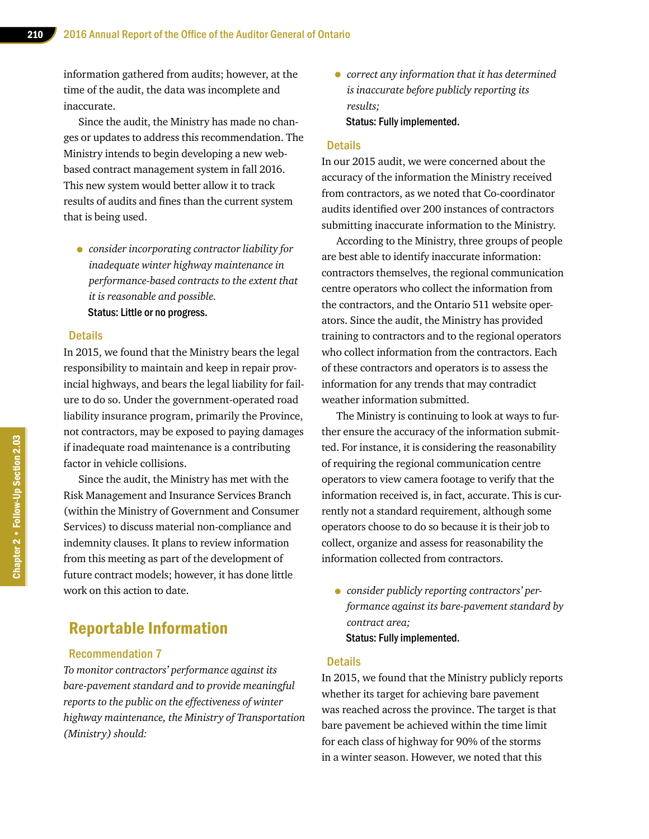information gathered from audits; however, at the time of the audit, the data was incomplete and inaccurate.

Since the audit, the Ministry has made no changes or updates to address this recommendation. The Ministry intends to begin developing a new webbased contract management system in fall 2016. This new system would better allow it to track results of audits and fines than the current system that is being used.

• *consider incorporating contractor liability for inadequate winter highway maintenance in performance-based contracts to the extent that it is reasonable and possible.* Status: Little or no progress.

#### **Details**

In 2015, we found that the Ministry bears the legal responsibility to maintain and keep in repair provincial highways, and bears the legal liability for failure to do so. Under the government-operated road liability insurance program, primarily the Province, not contractors, may be exposed to paying damages if inadequate road maintenance is a contributing factor in vehicle collisions.

Since the audit, the Ministry has met with the Risk Management and Insurance Services Branch (within the Ministry of Government and Consumer Services) to discuss material non-compliance and indemnity clauses. It plans to review information from this meeting as part of the development of future contract models; however, it has done little work on this action to date.

## Reportable Information

#### Recommendation 7

*To monitor contractors' performance against its bare-pavement standard and to provide meaningful reports to the public on the effectiveness of winter highway maintenance, the Ministry of Transportation (Ministry) should:*

• *correct any information that it has determined is inaccurate before publicly reporting its results;* Status: Fully implemented.

#### **Details**

In our 2015 audit, we were concerned about the accuracy of the information the Ministry received from contractors, as we noted that Co-coordinator audits identified over 200 instances of contractors submitting inaccurate information to the Ministry.

According to the Ministry, three groups of people are best able to identify inaccurate information: contractors themselves, the regional communication centre operators who collect the information from the contractors, and the Ontario 511 website operators. Since the audit, the Ministry has provided training to contractors and to the regional operators who collect information from the contractors. Each of these contractors and operators is to assess the information for any trends that may contradict weather information submitted.

The Ministry is continuing to look at ways to further ensure the accuracy of the information submitted. For instance, it is considering the reasonability of requiring the regional communication centre operators to view camera footage to verify that the information received is, in fact, accurate. This is currently not a standard requirement, although some operators choose to do so because it is their job to collect, organize and assess for reasonability the information collected from contractors.

• *consider publicly reporting contractors' performance against its bare-pavement standard by contract area;* Status: Fully implemented.

#### **Details**

In 2015, we found that the Ministry publicly reports whether its target for achieving bare pavement was reached across the province. The target is that bare pavement be achieved within the time limit for each class of highway for 90% of the storms in a winter season. However, we noted that this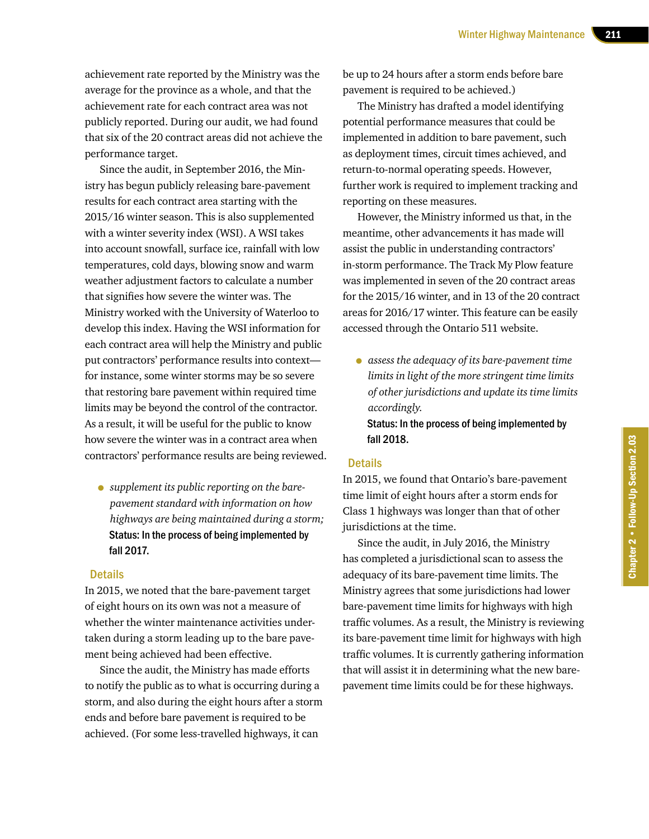achievement rate reported by the Ministry was the average for the province as a whole, and that the achievement rate for each contract area was not publicly reported. During our audit, we had found that six of the 20 contract areas did not achieve the performance target.

Since the audit, in September 2016, the Ministry has begun publicly releasing bare-pavement results for each contract area starting with the 2015/16 winter season. This is also supplemented with a winter severity index (WSI). A WSI takes into account snowfall, surface ice, rainfall with low temperatures, cold days, blowing snow and warm weather adjustment factors to calculate a number that signifies how severe the winter was. The Ministry worked with the University of Waterloo to develop this index. Having the WSI information for each contract area will help the Ministry and public put contractors' performance results into context for instance, some winter storms may be so severe that restoring bare pavement within required time limits may be beyond the control of the contractor. As a result, it will be useful for the public to know how severe the winter was in a contract area when contractors' performance results are being reviewed.

• *supplement its public reporting on the barepavement standard with information on how highways are being maintained during a storm;*  Status: In the process of being implemented by fall 2017.

#### **Details**

In 2015, we noted that the bare-pavement target of eight hours on its own was not a measure of whether the winter maintenance activities undertaken during a storm leading up to the bare pavement being achieved had been effective.

Since the audit, the Ministry has made efforts to notify the public as to what is occurring during a storm, and also during the eight hours after a storm ends and before bare pavement is required to be achieved. (For some less-travelled highways, it can

be up to 24 hours after a storm ends before bare pavement is required to be achieved.)

The Ministry has drafted a model identifying potential performance measures that could be implemented in addition to bare pavement, such as deployment times, circuit times achieved, and return-to-normal operating speeds. However, further work is required to implement tracking and reporting on these measures.

However, the Ministry informed us that, in the meantime, other advancements it has made will assist the public in understanding contractors' in-storm performance. The Track My Plow feature was implemented in seven of the 20 contract areas for the 2015/16 winter, and in 13 of the 20 contract areas for 2016/17 winter. This feature can be easily accessed through the Ontario 511 website.

• *assess the adequacy of its bare-pavement time limits in light of the more stringent time limits of other jurisdictions and update its time limits accordingly.* 

Status: In the process of being implemented by fall 2018.

#### **Details**

In 2015, we found that Ontario's bare-pavement time limit of eight hours after a storm ends for Class 1 highways was longer than that of other jurisdictions at the time.

Since the audit, in July 2016, the Ministry has completed a jurisdictional scan to assess the adequacy of its bare-pavement time limits. The Ministry agrees that some jurisdictions had lower bare-pavement time limits for highways with high traffic volumes. As a result, the Ministry is reviewing its bare-pavement time limit for highways with high traffic volumes. It is currently gathering information that will assist it in determining what the new barepavement time limits could be for these highways.